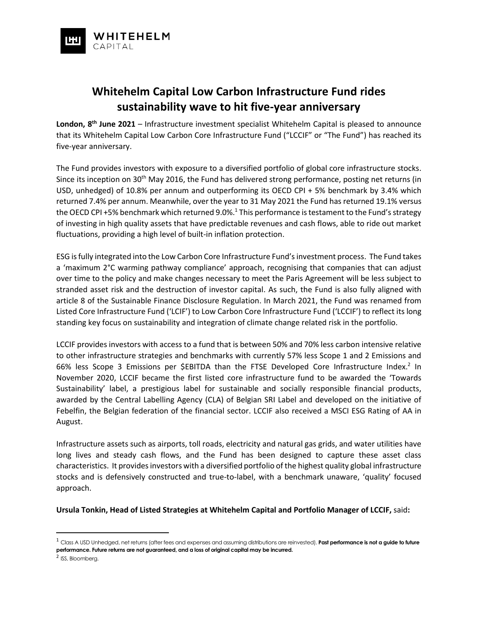

# **Whitehelm Capital Low Carbon Infrastructure Fund rides sustainability wave to hit five-year anniversary**

London, 8<sup>th</sup> June 2021 – Infrastructure investment specialist Whitehelm Capital is pleased to announce that its Whitehelm Capital Low Carbon Core Infrastructure Fund ("LCCIF" or "The Fund") has reached its five-year anniversary.

The Fund provides investors with exposure to a diversified portfolio of global core infrastructure stocks. Since its inception on 30<sup>th</sup> May 2016, the Fund has delivered strong performance, posting net returns (in USD, unhedged) of 10.8% per annum and outperforming its OECD CPI + 5% benchmark by 3.4% which returned 7.4% per annum. Meanwhile, over the year to 31 May 2021 the Fund has returned 19.1% versus the OECD CPI +5% benchmark which returned 9.0%.<sup>1</sup> This performance is testament to the Fund's strategy of investing in high quality assets that have predictable revenues and cash flows, able to ride out market fluctuations, providing a high level of built-in inflation protection.

ESG is fully integrated into the Low Carbon Core Infrastructure Fund's investment process. The Fund takes a 'maximum 2°C warming pathway compliance' approach, recognising that companies that can adjust over time to the policy and make changes necessary to meet the Paris Agreement will be less subject to stranded asset risk and the destruction of investor capital. As such, the Fund is also fully aligned with article 8 of the Sustainable Finance Disclosure Regulation. In March 2021, the Fund was renamed from Listed Core Infrastructure Fund ('LCIF') to Low Carbon Core Infrastructure Fund ('LCCIF') to reflect its long standing key focus on sustainability and integration of climate change related risk in the portfolio.

LCCIF provides investors with access to a fund that is between 50% and 70% less carbon intensive relative to other infrastructure strategies and benchmarks with currently 57% less Scope 1 and 2 Emissions and 66% less Scope 3 Emissions per \$EBITDA than the FTSE Developed Core Infrastructure Index.<sup>2</sup> In November 2020, LCCIF became the first listed core infrastructure fund to be awarded the 'Towards Sustainability' label, a prestigious label for sustainable and socially responsible financial products, awarded by the Central Labelling Agency (CLA) of Belgian SRI Label and developed on the initiative of Febelfin, the Belgian federation of the financial sector. LCCIF also received a MSCI ESG Rating of AA in August.

Infrastructure assets such as airports, toll roads, electricity and natural gas grids, and water utilities have long lives and steady cash flows, and the Fund has been designed to capture these asset class characteristics. It provides investors with a diversified portfolio of the highest quality global infrastructure stocks and is defensively constructed and true-to-label, with a benchmark unaware, 'quality' focused approach.

**Ursula Tonkin, Head of Listed Strategies at Whitehelm Capital and Portfolio Manager of LCCIF,** said**:**

<sup>1</sup> Class A USD Unhedged, net returns (after fees and expenses and assuming distributions are reinvested). **Past performance is not a guide to future performance. Future returns are not guaranteed, and a loss of original capital may be incurred.**

<sup>&</sup>lt;sup>2</sup> ISS, Bloomberg.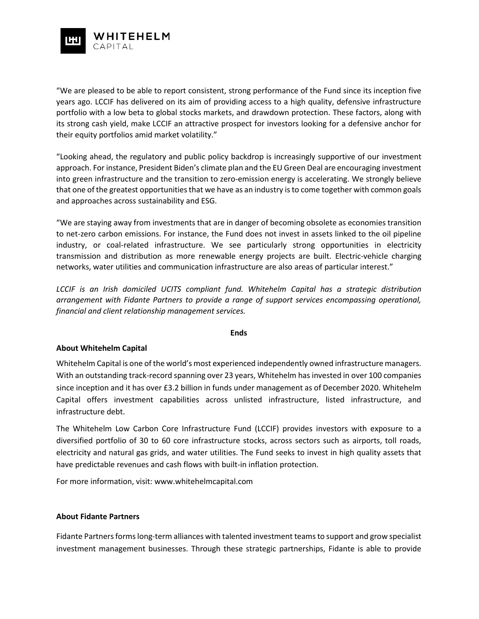

"We are pleased to be able to report consistent, strong performance of the Fund since its inception five years ago. LCCIF has delivered on its aim of providing access to a high quality, defensive infrastructure portfolio with a low beta to global stocks markets, and drawdown protection. These factors, along with its strong cash yield, make LCCIF an attractive prospect for investors looking for a defensive anchor for their equity portfolios amid market volatility."

"Looking ahead, the regulatory and public policy backdrop is increasingly supportive of our investment approach. For instance, President Biden's climate plan and the EU Green Deal are encouraging investment into green infrastructure and the transition to zero-emission energy is accelerating. We strongly believe that one of the greatest opportunities that we have as an industry is to come together with common goals and approaches across sustainability and ESG.

"We are staying away from investments that are in danger of becoming obsolete as economies transition to net-zero carbon emissions. For instance, the Fund does not invest in assets linked to the oil pipeline industry, or coal-related infrastructure. We see particularly strong opportunities in electricity transmission and distribution as more renewable energy projects are built. Electric-vehicle charging networks, water utilities and communication infrastructure are also areas of particular interest."

*LCCIF is an Irish domiciled UCITS compliant fund. Whitehelm Capital has a strategic distribution arrangement with Fidante Partners to provide a range of support services encompassing operational, financial and client relationship management services.*

### **Ends**

## **About Whitehelm Capital**

Whitehelm Capital is one of the world's most experienced independently owned infrastructure managers. With an outstanding track-record spanning over 23 years, Whitehelm has invested in over 100 companies since inception and it has over £3.2 billion in funds under management as of December 2020. Whitehelm Capital offers investment capabilities across unlisted infrastructure, listed infrastructure, and infrastructure debt.

The Whitehelm Low Carbon Core Infrastructure Fund (LCCIF) provides investors with exposure to a diversified portfolio of 30 to 60 core infrastructure stocks, across sectors such as airports, toll roads, electricity and natural gas grids, and water utilities. The Fund seeks to invest in high quality assets that have predictable revenues and cash flows with built-in inflation protection.

For more information, visit: [www.whitehelmcapital.com](http://www.whitehelmcapital.com/)

### **About Fidante Partners**

Fidante Partners forms long-term alliances with talented investment teams to support and grow specialist investment management businesses. Through these strategic partnerships, Fidante is able to provide